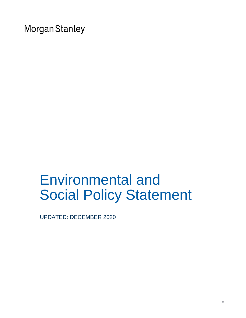# Environmental and Social Policy Statement

UPDATED: DECEMBER 2020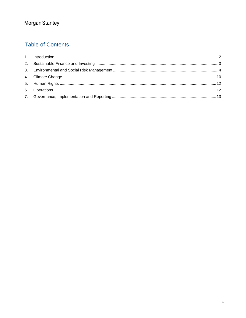# **Table of Contents**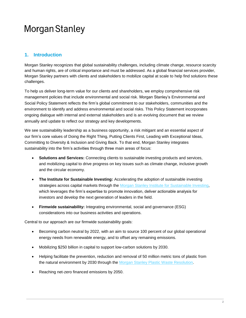# <span id="page-2-0"></span>**1. Introduction**

Morgan Stanley recognizes that global sustainability challenges, including climate change, resource scarcity and human rights, are of critical importance and must be addressed. As a global financial services provider, Morgan Stanley partners with clients and stakeholders to mobilize capital at scale to help find solutions these challenges.

To help us deliver long-term value for our clients and shareholders, we employ comprehensive risk management policies that include environmental and social risk. Morgan Stanley's Environmental and Social Policy Statement reflects the firm's global commitment to our stakeholders, communities and the environment to identify and address environmental and social risks. This Policy Statement incorporates ongoing dialogue with internal and external stakeholders and is an evolving document that we review annually and update to reflect our strategy and key developments.

We see sustainability leadership as a business opportunity, a risk mitigant and an essential aspect of our firm's core values of Doing the Right Thing, Putting Clients First, Leading with Exceptional Ideas, Committing to Diversity & Inclusion and Giving Back. To that end, Morgan Stanley integrates sustainability into the firm's activities through three main areas of focus:

- **Solutions and Services:** Connecting clients to sustainable investing products and services, and mobilizing capital to drive progress on key issues such as climate change, inclusive growth and the circular economy.
- **The Institute for Sustainable Investing:** Accelerating the adoption of sustainable investing strategies across capital markets through the Morgan Stanley Institute [for Sustainable Investing,](https://www.morganstanley.com/what-we-do/institute-for-sustainable-investing) which leverages the firm's expertise to promote innovation, deliver actionable analysis for investors and develop the next generation of leaders in the field.
- **Firmwide sustainability:** Integrating environmental, social and governance (ESG) considerations into our business activities and operations.

Central to our approach are our firmwide sustainability goals:

- Becoming carbon neutral by 2022, with an aim to source 100 percent of our global operational energy needs from renewable energy, and to offset any remaining emissions.
- Mobilizing \$250 billion in capital to support low-carbon solutions by 2030.
- Helping facilitate the prevention, reduction and removal of 50 million metric tons of plastic from the natural environment by 2030 through the [Morgan Stanley Plastic Waste Resolution.](https://www.morganstanley.com/Themes/plastic-pollution-resolution)
- <span id="page-2-1"></span>Reaching net-zero financed emissions by 2050.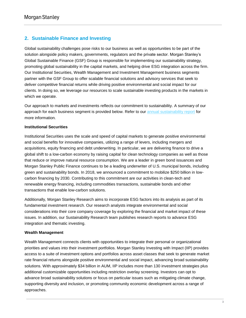# **2. Sustainable Finance and Investing**

Global sustainability challenges pose risks to our business as well as opportunities to be part of the solution alongside policy makers, governments, regulators and the private sector. Morgan Stanley's Global Sustainable Finance (GSF) Group is responsible for implementing our sustainability strategy, promoting global sustainability in the capital markets, and helping drive ESG integration across the firm. Our Institutional Securities, Wealth Management and Investment Management business segments partner with the GSF Group to offer scalable financial solutions and advisory services that seek to deliver competitive financial returns while driving positive environmental and social impact for our clients. In doing so, we leverage our resources to scale sustainable investing products in the markets in which we operate.

Our approach to markets and investments reflects our commitment to sustainability. A summary of our approach for each business segment is provided below. Refer to our [annual sustainability report](https://www.morganstanley.com/about-us/sustainability-reports-research) for more information.

#### **Institutional Securities**

Institutional Securities uses the scale and speed of capital markets to generate positive environmental and social benefits for innovative companies, utilizing a range of levers, including mergers and acquisitions, equity financing and debt underwriting. In particular, we are delivering finance to drive a global shift to a low-carbon economy by raising capital for clean technology companies as well as those that reduce or improve natural resource consumption. We are a leader in green bond issuances and Morgan Stanley Public Finance continues to be a leading underwriter of U.S. municipal bonds, including green and sustainability bonds. In 2018, we announced a commitment to mobilize \$250 billion in lowcarbon financing by 2030. Contributing to this commitment are our activities in clean-tech and renewable energy financing, including commodities transactions, sustainable bonds and other transactions that enable low-carbon solutions.

Additionally, Morgan Stanley Research aims to incorporate ESG factors into its analysis as part of its fundamental investment research. Our research analysts integrate environmental and social considerations into their core company coverage by exploring the financial and market impact of these issues. In addition, our Sustainability Research team publishes research reports to advance ESG integration and thematic investing.

#### **Wealth Management**

Wealth Management connects clients with opportunities to integrate their personal or organizational priorities and values into their investment portfolios. Morgan Stanley Investing with Impact (IIP) provides access to a suite of investment options and portfolios across asset classes that seek to generate market rate financial returns alongside positive environmental and social impact, advancing broad sustainability solutions. With approximately \$34 billion in AUM, IIP includes more than 130 investment strategies plus additional customizable opportunities including restriction overlay screening. Investors can opt to advance broad sustainability solutions or focus on particular issues such as mitigating climate change, supporting diversity and inclusion, or promoting community economic development across a range of approaches.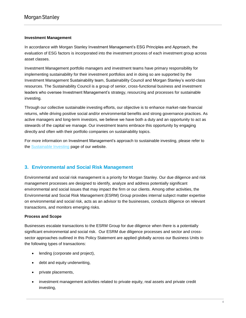#### **Investment Management**

In accordance with Morgan Stanley Investment Management's ESG Principles and Approach, the evaluation of ESG factors is incorporated into the investment process of each investment group across asset classes.

Investment Management portfolio managers and investment teams have primary responsibility for implementing sustainability for their investment portfolios and in doing so are supported by the Investment Management Sustainability team, Sustainability Council and Morgan Stanley's world-class resources. The Sustainability Council is a group of senior, cross-functional business and investment leaders who oversee Investment Management's strategy, resourcing and processes for sustainable investing.

Through our collective sustainable investing efforts, our objective is to enhance market-rate financial returns, while driving positive social and/or environmental benefits and strong governance practices. As active managers and long-term investors, we believe we have both a duty and an opportunity to act as stewards of the capital we manage. Our investment teams embrace this opportunity by engaging directly and often with their portfolio companies on sustainability topics.

<span id="page-4-0"></span>For more information on Investment Management's approach to sustainable investing, please refer to the [Sustainable Investing](https://www.morganstanley.com/im/en-us/institutional-investor/about-us/sustainable-investing.html) page of our website.

# **3. Environmental and Social Risk Management**

Environmental and social risk management is a priority for Morgan Stanley. Our due diligence and risk management processes are designed to identify, analyze and address potentially significant environmental and social issues that may impact the firm or our clients. Among other activities, the Environmental and Social Risk Management (ESRM) Group provides internal subject matter expertise on environmental and social risk, acts as an advisor to the businesses, conducts diligence on relevant transactions, and monitors emerging risks.

#### **Process and Scope**

Businesses escalate transactions to the ESRM Group for due diligence when there is a potentially significant environmental and social risk. Our ESRM due diligence processes and sector and crosssector approaches outlined in this Policy Statement are applied globally across our Business Units to the following types of transactions:

- lending (corporate and project),
- debt and equity underwriting,
- private placements,
- investment management activities related to private equity, real assets and private credit investing,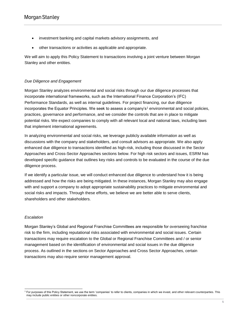- investment banking and capital markets advisory assignments, and
- other transactions or activities as applicable and appropriate.

We will aim to apply this Policy Statement to transactions involving a joint venture between Morgan Stanley and other entities.

#### *Due Diligence and Engagement*

Morgan Stanley analyzes environmental and social risks through our due diligence processes that incorporate international frameworks, such as the International Finance Corporation's (IFC) Performance Standards, as well as internal guidelines. For project financing, our due diligence incorporates the Equator Principles. We seek to assess a company's<sup>1</sup> environmental and social policies, practices, governance and performance, and we consider the controls that are in place to mitigate potential risks. We expect companies to comply with all relevant local and national laws, including laws that implement international agreements.

In analyzing environmental and social risks, we leverage publicly available information as well as discussions with the company and stakeholders, and consult advisors as appropriate. We also apply enhanced due diligence to transactions identified as high-risk, including those discussed in the Sector Approaches and Cross-Sector Approaches sections below. For high risk sectors and issues, ESRM has developed specific guidance that outlines key risks and controls to be evaluated in the course of the due diligence process.

If we identify a particular issue, we will conduct enhanced due diligence to understand how it is being addressed and how the risks are being mitigated. In these instances, Morgan Stanley may also engage with and support a company to adopt appropriate sustainability practices to mitigate environmental and social risks and impacts. Through these efforts, we believe we are better able to serve clients, shareholders and other stakeholders.

#### *Escalation*

Morgan Stanley's Global and Regional Franchise Committees are responsible for overseeing franchise risk to the firm, including reputational risks associated with environmental and social issues. Certain transactions may require escalation to the Global or Regional Franchise Committees and / or senior management based on the identification of environmental and social issues in the due diligence process. As outlined in the sections on Sector Approaches and Cross Sector Approaches, certain transactions may also require senior management approval.

l <sup>1</sup> For purposes of this Policy Statement, we use the term 'companies' to refer to clients, companies in which we invest, and other relevant counterparties. This may include public entities or other noncorporate entities.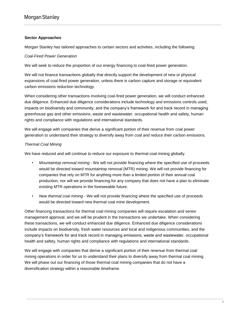#### **Sector Approaches**

Morgan Stanley has tailored approaches to certain sectors and activities, including the following:

#### *Coal-Fired Power Generation*

We will seek to reduce the proportion of our energy financing to coal-fired power generation.

We will not finance transactions globally that directly support the development of new or physical expansions of coal-fired power generation, unless there is carbon capture and storage or equivalent carbon emissions reduction technology.

When considering other transactions involving coal-fired power generation, we will conduct enhanced due diligence. Enhanced due diligence considerations include technology and emissions controls used, impacts on biodiversity and community, and the company's framework for and track record in managing greenhouse gas and other emissions, waste and wastewater, occupational health and safety, human rights and compliance with regulations and international standards.

We will engage with companies that derive a significant portion of their revenue from coal power generation to understand their strategy to diversify away from coal and reduce their carbon emissions.

#### *Thermal Coal Mining*

We have reduced and will continue to reduce our exposure to thermal coal mining globally.

- *Mountaintop removal mining*  We will not provide financing where the specified use of proceeds would be directed toward mountaintop removal (MTR) mining. We will not provide financing for companies that rely on MTR for anything more than a limited portion of their annual coal production, nor will we provide financing for any company that does not have a plan to eliminate existing MTR operations in the foreseeable future.
- *New thermal coal mining*  We will not provide financing where the specified use of proceeds would be directed toward new thermal coal mine development.

Other financing transactions for thermal coal mining companies will require escalation and senior management approval, and we will be prudent in the transactions we undertake. When considering these transactions, we will conduct enhanced due diligence. Enhanced due diligence considerations include impacts on biodiversity, fresh water resources and local and indigenous communities, and the company's framework for and track record in managing emissions, waste and wastewater, occupational health and safety, human rights and compliance with regulations and international standards.

We will engage with companies that derive a significant portion of their revenue from thermal coal mining operations in order for us to understand their plans to diversify away from thermal coal mining. We will phase out our financing of those thermal coal mining companies that do not have a diversification strategy within a reasonable timeframe.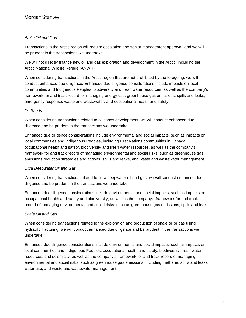#### *Arctic Oil and Gas*

Transactions in the Arctic region will require escalation and senior management approval, and we will be prudent in the transactions we undertake.

We will not directly finance new oil and gas exploration and development in the Arctic, including the Arctic National Wildlife Refuge (ANWR).

When considering transactions in the Arctic region that are not prohibited by the foregoing, we will conduct enhanced due diligence. Enhanced due diligence considerations include impacts on local communities and Indigenous Peoples, biodiversity and fresh water resources, as well as the company's framework for and track record for managing energy use, greenhouse gas emissions, spills and leaks, emergency response, waste and wastewater, and occupational health and safety.

#### *Oil Sands*

When considering transactions related to oil sands development, we will conduct enhanced due diligence and be prudent in the transactions we undertake.

Enhanced due diligence considerations include environmental and social impacts, such as impacts on local communities and Indigenous Peoples, including First Nations communities in Canada, occupational health and safety, biodiversity and fresh water resources, as well as the company's framework for and track record of managing environmental and social risks, such as greenhouse gas emissions reduction strategies and actions, spills and leaks, and waste and wastewater management.

#### *Ultra Deepwater Oil and Gas*

When considering transactions related to ultra deepwater oil and gas, we will conduct enhanced due diligence and be prudent in the transactions we undertake.

Enhanced due diligence considerations include environmental and social impacts, such as impacts on occupational health and safety and biodiversity, as well as the company's framework for and track record of managing environmental and social risks, such as greenhouse gas emissions, spills and leaks.

#### *Shale Oil and Gas*

When considering transactions related to the exploration and production of shale oil or gas using hydraulic fracturing, we will conduct enhanced due diligence and be prudent in the transactions we undertake.

Enhanced due diligence considerations include environmental and social impacts, such as impacts on local communities and Indigenous Peoples, occupational health and safety, biodiversity, fresh water resources, and seismicity, as well as the company's framework for and track record of managing environmental and social risks, such as greenhouse gas emissions, including methane, spills and leaks, water use, and waste and wastewater management.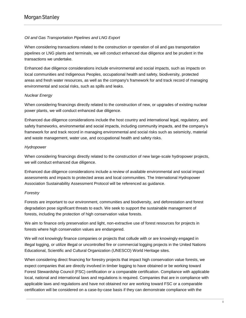#### *Oil and Gas Transportation Pipelines and LNG Export*

When considering transactions related to the construction or operation of oil and gas transportation pipelines or LNG plants and terminals, we will conduct enhanced due diligence and be prudent in the transactions we undertake.

Enhanced due diligence considerations include environmental and social impacts, such as impacts on local communities and Indigenous Peoples, occupational health and safety, biodiversity, protected areas and fresh water resources, as well as the company's framework for and track record of managing environmental and social risks, such as spills and leaks.

#### *Nuclear Energy*

When considering financings directly related to the construction of new, or upgrades of existing nuclear power plants, we will conduct enhanced due diligence.

Enhanced due diligence considerations include the host country and international legal, regulatory, and safety frameworks, environmental and social impacts, including community impacts, and the company's framework for and track record in managing environmental and social risks such as seismicity, material and waste management, water use, and occupational health and safety risks.

#### *Hydropower*

When considering financings directly related to the construction of new large-scale hydropower projects, we will conduct enhanced due diligence.

Enhanced due diligence considerations include a review of available environmental and social impact assessments and impacts to protected areas and local communities. The International Hydropower Association Sustainability Assessment Protocol will be referenced as guidance.

#### *Forestry*

Forests are important to our environment, communities and biodiversity, and deforestation and forest degradation pose significant threats to each. We seek to support the sustainable management of forests, including the protection of high conservation value forests.

We aim to finance only preservation and light, non-extractive use of forest resources for projects in forests where high conservation values are endangered.

We will not knowingly finance companies or projects that collude with or are knowingly engaged in illegal logging, or utilize illegal or uncontrolled fire or commercial logging projects in the United Nations Educational, Scientific and Cultural Organization (UNESCO) World Heritage sites.

When considering direct financing for forestry projects that impact high conservation value forests, we expect companies that are directly involved in timber logging to have obtained or be working toward Forest Stewardship Council (FSC) certification or a comparable certification. Compliance with applicable local, national and international laws and regulations is required. Companies that are in compliance with applicable laws and regulations and have not obtained nor are working toward FSC or a comparable certification will be considered on a case-by-case basis if they can demonstrate compliance with the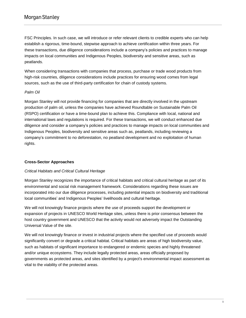FSC Principles. In such case, we will introduce or refer relevant clients to credible experts who can help establish a rigorous, time-bound, stepwise approach to achieve certification within three years. For these transactions, due diligence considerations include a company's policies and practices to manage impacts on local communities and Indigenous Peoples, biodiversity and sensitive areas, such as peatlands.

When considering transactions with companies that process, purchase or trade wood products from high-risk countries, diligence considerations include practices for ensuring wood comes from legal sources, such as the use of third-party certification for chain of custody systems.

#### *Palm Oil*

Morgan Stanley will not provide financing for companies that are directly involved in the upstream production of palm oil, unless the companies have achieved Roundtable on Sustainable Palm Oil (RSPO) certification or have a time-bound plan to achieve this. Compliance with local, national and international laws and regulations is required. For these transactions, we will conduct enhanced due diligence and consider a company's policies and practices to manage impacts on local communities and Indigenous Peoples, biodiversity and sensitive areas such as, peatlands, including reviewing a company's commitment to no deforestation, no peatland development and no exploitation of human rights.

#### **Cross-Sector Approaches**

#### *Critical Habitats and Critical Cultural Heritage*

Morgan Stanley recognizes the importance of critical habitats and critical cultural heritage as part of its environmental and social risk management framework. Considerations regarding these issues are incorporated into our due diligence processes, including potential impacts on biodiversity and traditional local communities' and Indigenous Peoples' livelihoods and cultural heritage.

We will not knowingly finance projects where the use of proceeds support the development or expansion of projects in UNESCO World Heritage sites, unless there is prior consensus between the host country government and UNESCO that the activity would not adversely impact the Outstanding Universal Value of the site.

We will not knowingly finance or invest in industrial projects where the specified use of proceeds would significantly convert or degrade a critical habitat. Critical habitats are areas of high biodiversity value, such as habitats of significant importance to endangered or endemic species and highly threatened and/or unique ecosystems. They include legally protected areas, areas officially proposed by governments as protected areas, and sites identified by a project's environmental impact assessment as vital to the viability of the protected areas.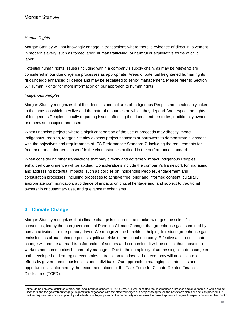#### *Human Rights*

Morgan Stanley will not knowingly engage in transactions where there is evidence of direct involvement in modern slavery, such as forced labor, human trafficking, or harmful or exploitative forms of child labor.

Potential human rights issues (including within a company's supply chain, as may be relevant) are considered in our due diligence processes as appropriate. Areas of potential heightened human rights risk undergo enhanced diligence and may be escalated to senior management. Please refer to Section 5, "Human Rights" for more information on our approach to human rights.

#### *Indigenous Peoples*

Morgan Stanley recognizes that the identities and cultures of Indigenous Peoples are inextricably linked to the lands on which they live and the natural resources on which they depend. We respect the rights of Indigenous Peoples globally regarding issues affecting their lands and territories, traditionally owned or otherwise occupied and used.

When financing projects where a significant portion of the use of proceeds may directly impact Indigenous Peoples, Morgan Stanley expects project sponsors or borrowers to demonstrate alignment with the objectives and requirements of IFC Performance Standard 7, including the requirements for free, prior and informed consent<sup>2</sup> in the circumstances outlined in the performance standard.

When considering other transactions that may directly and adversely impact Indigenous Peoples, enhanced due diligence will be applied. Considerations include the company's framework for managing and addressing potential impacts, such as policies on Indigenous Peoples, engagement and consultation processes, including processes to achieve free, prior and informed consent, culturally appropriate communication, avoidance of impacts on critical heritage and land subject to traditional ownership or customary use, and grievance mechanisms.

# <span id="page-10-0"></span>**4. Climate Change**

Morgan Stanley recognizes that climate change is occurring, and acknowledges the scientific consensus, led by the Intergovernmental Panel on Climate Change, that greenhouse gases emitted by human activities are the primary driver. We recognize the benefits of helping to reduce greenhouse gas emissions as climate change poses significant risks to the global economy. Effective action on climate change will require a broad transformation of sectors and economies. It will be critical that impacts to workers and communities be carefully managed. Due to the complexity of addressing climate change in both developed and emerging economies, a transition to a low-carbon economy will necessitate joint efforts by governments, businesses and individuals. Our approach to managing climate risks and opportunities is informed by the recommendations of the Task Force for Climate-Related Financial Disclosures (TCFD).

l <sup>2</sup> Although no universal definition of free, prior and informed consent (FPIC) exists, it is well-accepted that it comprises a process and an outcome in which project sponsors and the government engage in good faith negotiation with the affected indigenous peoples to agree on the basis for which a project can proceed. FPIC neither requires unanimous support by individuals or sub-groups within the community nor requires the project sponsors to agree to aspects not under their control.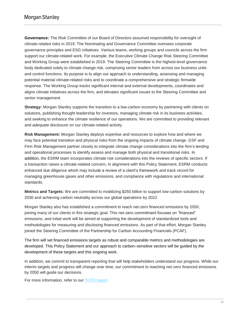**Governance:** The Risk Committee of our Board of Directors assumed responsibility for oversight of climate-related risks in 2019. The Nominating and Governance Committee oversees corporate governance principles and ESG initiatives. Various teams, working groups and councils across the firm support our climate-related work. For example, the Executive Climate Change Risk Steering Committee and Working Group were established in 2019. The Steering Committee is the highest-level governance body dedicated solely to climate change risk, comprising senior leaders from across our business units and control functions. Its purpose is to align our approach to understanding, assessing and managing potential material climate-related risks and to coordinate a comprehensive and strategic firmwide response. The Working Group tracks significant internal and external developments, coordinates and aligns climate initiatives across the firm, and elevates significant issues to the Steering Committee and senior management.

**Strategy:** Morgan Stanley supports the transition to a low-carbon economy by partnering with clients on solutions, publishing thought leadership for investors, managing climate risk in its business activities, and seeking to enhance the climate resilience of our operations. We are committed to providing relevant and adequate disclosure on our climate-related activity.

**Risk Management:** Morgan Stanley deploys expertise and resources to explore how and where we may face potential transition and physical risks from the ongoing impacts of climate change. GSF and Firm Risk Management partner closely to integrate climate change considerations into the firm's lending and operational processes to identify assess and manage both physical and transitional risks. In addition, the ESRM team incorporates climate risk considerations into the reviews of specific sectors. If a transaction raises a climate-related concern, in alignment with this Policy Statement, ESRM conducts enhanced due diligence which may include a review of a client's framework and track record for managing greenhouse gases and other emissions, and compliance with regulations and international standards.

**Metrics and Targets:** We are committed to mobilizing \$250 billion to support low-carbon solutions by 2030 and achieving carbon neutrality across our global operations by 2022.

Morgan Stanley also has established a commitment to reach net-zero financed emissions by 2050, joining many of our clients in this strategic goal. This net-zero commitment focuses on "financed" emissions, and initial work will be aimed at supporting the development of standardized tools and methodologies for measuring and disclosing financed emissions. As part of that effort, Morgan Stanley joined the Steering Committee of the Partnership for Carbon Accounting Financials (PCAF).

The firm will set financed emissions targets as robust and comparable metrics and methodologies are developed. This Policy Statement and our approach to carbon–sensitive sectors will be guided by the development of these targets and this ongoing work.

In addition, we commit to transparent reporting that will help stakeholders understand our progress. While our interim targets and progress will change over time, our commitment to reaching net-zero financed emissions by 2050 will guide our decisions.

For more information, refer to our [TCFD report.](https://www.morganstanley.com/assets/pdfs/Morgan_Stanley_TCFD_Report_2020.pdf)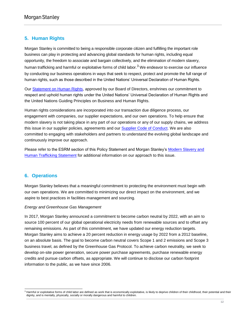# <span id="page-12-0"></span>**5. Human Rights**

Morgan Stanley is committed to being a responsible corporate citizen and fulfilling the important role business can play in protecting and advancing global standards for human rights, including equal opportunity, the freedom to associate and bargain collectively, and the elimination of modern slavery, human trafficking and harmful or exploitative forms of child labor.<sup>3</sup> We endeavor to exercise our influence by conducting our business operations in ways that seek to respect, protect and promote the full range of human rights, such as those described in the United Nations' Universal Declaration of Human Rights.

Our [Statement on Human Rights,](https://www.morganstanley.com/about-us-governance/pdf/human_rights_statement.pdf) approved by our Board of Directors, enshrines our commitment to respect and uphold human rights under the United Nations' Universal Declaration of Human Rights and the United Nations Guiding Principles on Business and Human Rights.

Human rights considerations are incorporated into our transaction due diligence process, our engagement with companies, our supplier expectations, and our own operations. To help ensure that modern slavery is not taking place in any part of our operations or any of our supply chains, we address this issue in our supplier policies, agreements and our [Supplier Code of Conduct.](https://www.morganstanley.com/about-us-governance/pdf/supplier-code-of-conduct.pdf) We are also committed to engaging with stakeholders and partners to understand the evolving global landscape and continuously improve our approach.

Please refer to the ESRM section of this Policy Statement and Morgan Stanley's [Modern Slavery and](https://www.morganstanley.com/about-us-governance)  [Human Trafficking Statement](https://www.morganstanley.com/about-us-governance) for additional information on our approach to this issue.

# <span id="page-12-1"></span>**6. Operations**

Morgan Stanley believes that a meaningful commitment to protecting the environment must begin with our own operations. We are committed to minimizing our direct impact on the environment, and we aspire to best practices in facilities management and sourcing.

#### *Energy and Greenhouse Gas Management*

In 2017, Morgan Stanley announced a commitment to become carbon neutral by 2022, with an aim to source 100 percent of our global operational electricity needs from renewable sources and to offset any remaining emissions. As part of this commitment, we have updated our energy reduction targets. Morgan Stanley aims to achieve a 20 percent reduction in energy usage by 2022 from a 2012 baseline, on an absolute basis. The goal to become carbon neutral covers Scope 1 and 2 emissions and Scope 3 business travel, as defined by the Greenhouse Gas Protocol. To achieve carbon neutrality, we seek to develop on-site power generation, secure power purchase agreements, purchase renewable energy credits and pursue carbon offsets, as appropriate. We will continue to disclose our carbon footprint information to the public, as we have since 2006.

l <sup>3</sup> Harmful or exploitative forms of child labor are defined as work that is economically exploitative, is likely to deprive children of their childhood, their potential and their dignity, and is mentally, physically, socially or morally dangerous and harmful to children.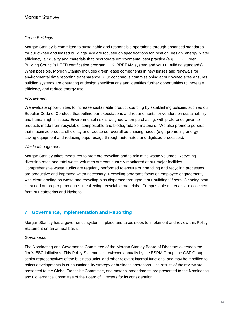#### *Green Buildings*

Morgan Stanley is committed to sustainable and responsible operations through enhanced standards for our owned and leased buildings. We are focused on specifications for location, design, energy, water efficiency, air quality and materials that incorporate environmental best practice (e.g., U.S. Green Building Council's LEED certification program, U.K. BREEAM system and WELL Building standards). When possible, Morgan Stanley includes green lease components in new leases and renewals for environmental data reporting transparency. Our continuous commissioning at our owned sites ensures building systems are operating at design specifications and identifies further opportunities to increase efficiency and reduce energy use.

#### *Procurement*

We evaluate opportunities to increase sustainable product sourcing by establishing policies, such as our Supplier Code of Conduct, that outline our expectations and requirements for vendors on sustainability and human rights issues. Environmental risk is weighed when purchasing, with preference given to products made from recyclable, compostable and biodegradable materials. We also promote policies that maximize product efficiency and reduce our overall purchasing needs (e.g., promoting energysaving equipment and reducing paper usage through automated and digitized processes).

#### *Waste Management*

Morgan Stanley takes measures to promote recycling and to minimize waste volumes. Recycling diversion rates and total waste volumes are continuously monitored at our major facilities. Comprehensive waste audits are regularly performed to ensure our handling and recycling processes are productive and improved when necessary. Recycling programs focus on employee engagement, with clear labeling on waste and recycling bins dispersed throughout our buildings' floors. Cleaning staff is trained on proper procedures in collecting recyclable materials. Compostable materials are collected from our cafeterias and kitchens.

# <span id="page-13-0"></span>**7. Governance, Implementation and Reporting**

Morgan Stanley has a governance system in place and takes steps to implement and review this Policy Statement on an annual basis.

#### *Governance*

The Nominating and Governance Committee of the Morgan Stanley Board of Directors oversees the firm's ESG initiatives. This Policy Statement is reviewed annually by the ESRM Group, the GSF Group, senior representatives of the business units, and other relevant internal functions, and may be modified to reflect developments in our sustainability strategy or business operations. The results of the review are presented to the Global Franchise Committee, and material amendments are presented to the Nominating and Governance Committee of the Board of Directors for its consideration.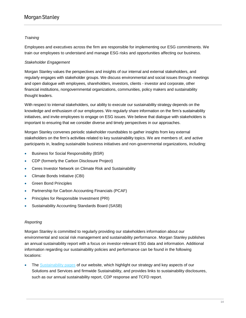#### *Training*

Employees and executives across the firm are responsible for implementing our ESG commitments. We train our employees to understand and manage ESG risks and opportunities affecting our business.

#### *Stakeholder Engagement*

Morgan Stanley values the perspectives and insights of our internal and external stakeholders, and regularly engages with stakeholder groups. We discuss environmental and social issues through meetings and open dialogue with employees, shareholders, investors, clients - investor and corporate, other financial institutions, nongovernmental organizations, communities, policy makers and sustainability thought leaders.

With respect to internal stakeholders, our ability to execute our sustainability strategy depends on the knowledge and enthusiasm of our employees. We regularly share information on the firm's sustainability initiatives, and invite employees to engage on ESG issues. We believe that dialogue with stakeholders is important to ensuring that we consider diverse and timely perspectives in our approaches.

Morgan Stanley convenes periodic stakeholder roundtables to gather insights from key external stakeholders on the firm's activities related to key sustainability topics. We are members of, and active participants in, leading sustainable business initiatives and non-governmental organizations, including:

- **Business for Social Responsibility (BSR)**
- CDP (formerly the Carbon Disclosure Project)
- Ceres Investor Network on Climate Risk and Sustainability
- Climate Bonds Initiative (CBI)
- Green Bond Principles
- Partnership for Carbon Accounting Financials (PCAF)
- **•** Principles for Responsible Investment (PRI)
- Sustainability Accounting Standards Board (SASB)

#### *Reporting*

Morgan Stanley is committed to regularly providing our stakeholders information about our environmental and social risk management and sustainability performance. Morgan Stanley publishes an annual sustainability report with a focus on investor-relevant ESG data and information. Additional information regarding our sustainability policies and performance can be found in the following locations:

• The [Sustainability](https://www.morganstanley.com/about-us/sustainability-at-morgan-stanley) pages of our website, which highlight our strategy and key aspects of our Solutions and Services and firmwide Sustainability, and provides links to sustainability disclosures, such as our annual sustainability report, CDP response and TCFD report.